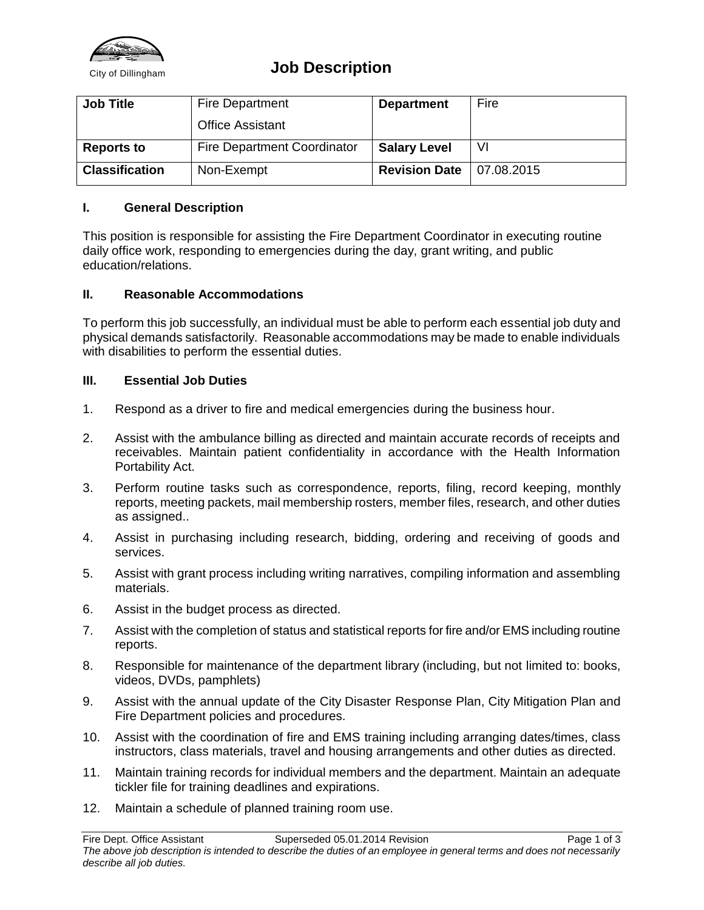

## City of Dillingham **Job Description**

| <b>Job Title</b>      | <b>Fire Department</b>             | <b>Department</b>    | Fire       |
|-----------------------|------------------------------------|----------------------|------------|
|                       | <b>Office Assistant</b>            |                      |            |
| <b>Reports to</b>     | <b>Fire Department Coordinator</b> | <b>Salary Level</b>  |            |
| <b>Classification</b> | Non-Exempt                         | <b>Revision Date</b> | 07.08.2015 |

#### **I. General Description**

This position is responsible for assisting the Fire Department Coordinator in executing routine daily office work, responding to emergencies during the day, grant writing, and public education/relations.

#### **II. Reasonable Accommodations**

To perform this job successfully, an individual must be able to perform each essential job duty and physical demands satisfactorily. Reasonable accommodations may be made to enable individuals with disabilities to perform the essential duties.

#### **III. Essential Job Duties**

- 1. Respond as a driver to fire and medical emergencies during the business hour.
- 2. Assist with the ambulance billing as directed and maintain accurate records of receipts and receivables. Maintain patient confidentiality in accordance with the Health Information Portability Act.
- 3. Perform routine tasks such as correspondence, reports, filing, record keeping, monthly reports, meeting packets, mail membership rosters, member files, research, and other duties as assigned..
- 4. Assist in purchasing including research, bidding, ordering and receiving of goods and services.
- 5. Assist with grant process including writing narratives, compiling information and assembling materials.
- 6. Assist in the budget process as directed.
- 7. Assist with the completion of status and statistical reports for fire and/or EMS including routine reports.
- 8. Responsible for maintenance of the department library (including, but not limited to: books, videos, DVDs, pamphlets)
- 9. Assist with the annual update of the City Disaster Response Plan, City Mitigation Plan and Fire Department policies and procedures.
- 10. Assist with the coordination of fire and EMS training including arranging dates/times, class instructors, class materials, travel and housing arrangements and other duties as directed.
- 11. Maintain training records for individual members and the department. Maintain an adequate tickler file for training deadlines and expirations.
- 12. Maintain a schedule of planned training room use.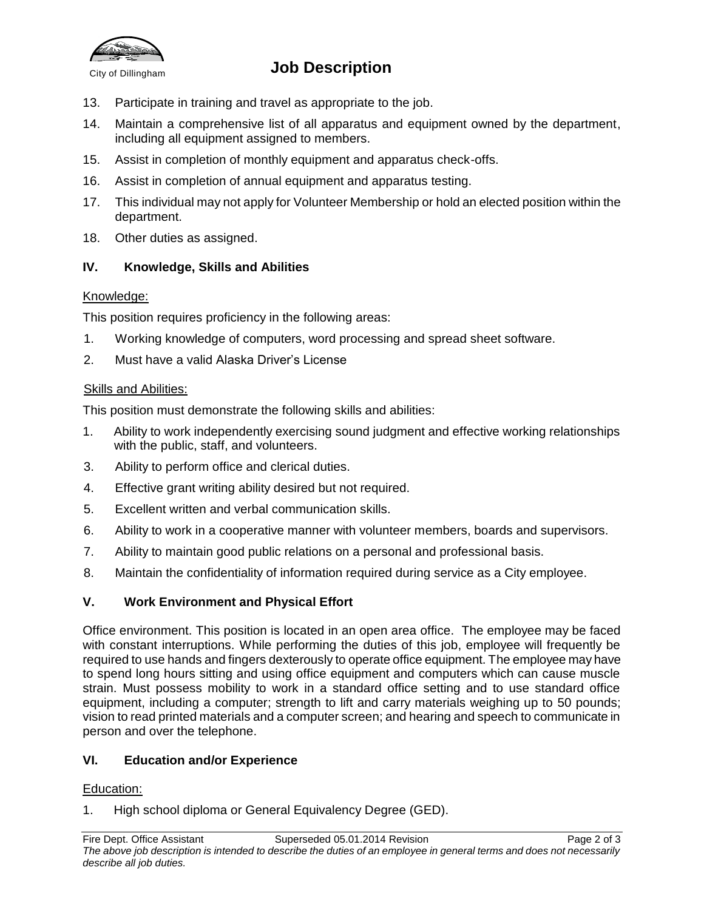

# City of Dillingham **Job Description**

- 13. Participate in training and travel as appropriate to the job.
- 14. Maintain a comprehensive list of all apparatus and equipment owned by the department, including all equipment assigned to members.
- 15. Assist in completion of monthly equipment and apparatus check-offs.
- 16. Assist in completion of annual equipment and apparatus testing.
- 17. This individual may not apply for Volunteer Membership or hold an elected position within the department.
- 18. Other duties as assigned.

## **IV. Knowledge, Skills and Abilities**

#### Knowledge:

This position requires proficiency in the following areas:

- 1. Working knowledge of computers, word processing and spread sheet software.
- 2. Must have a valid Alaska Driver's License

#### Skills and Abilities:

This position must demonstrate the following skills and abilities:

- 1. Ability to work independently exercising sound judgment and effective working relationships with the public, staff, and volunteers.
- 3. Ability to perform office and clerical duties.
- 4. Effective grant writing ability desired but not required.
- 5. Excellent written and verbal communication skills.
- 6. Ability to work in a cooperative manner with volunteer members, boards and supervisors.
- 7. Ability to maintain good public relations on a personal and professional basis.
- 8. Maintain the confidentiality of information required during service as a City employee.

## **V. Work Environment and Physical Effort**

Office environment. This position is located in an open area office. The employee may be faced with constant interruptions. While performing the duties of this job, employee will frequently be required to use hands and fingers dexterously to operate office equipment. The employee may have to spend long hours sitting and using office equipment and computers which can cause muscle strain. Must possess mobility to work in a standard office setting and to use standard office equipment, including a computer; strength to lift and carry materials weighing up to 50 pounds; vision to read printed materials and a computer screen; and hearing and speech to communicate in person and over the telephone.

#### **VI. Education and/or Experience**

#### Education:

1. High school diploma or General Equivalency Degree (GED).